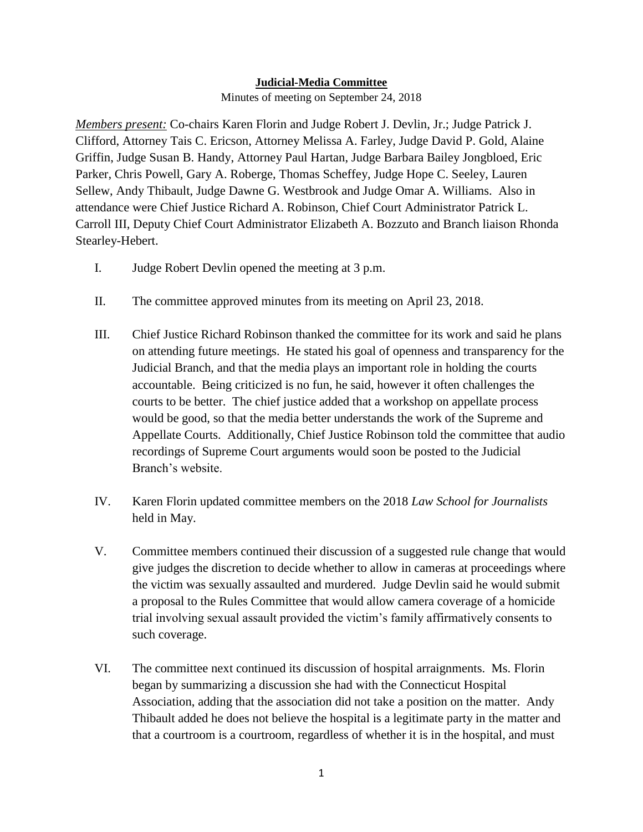## **Judicial-Media Committee**

Minutes of meeting on September 24, 2018

*Members present:* Co-chairs Karen Florin and Judge Robert J. Devlin, Jr.; Judge Patrick J. Clifford, Attorney Tais C. Ericson, Attorney Melissa A. Farley, Judge David P. Gold, Alaine Griffin, Judge Susan B. Handy, Attorney Paul Hartan, Judge Barbara Bailey Jongbloed, Eric Parker, Chris Powell, Gary A. Roberge, Thomas Scheffey, Judge Hope C. Seeley, Lauren Sellew, Andy Thibault, Judge Dawne G. Westbrook and Judge Omar A. Williams. Also in attendance were Chief Justice Richard A. Robinson, Chief Court Administrator Patrick L. Carroll III, Deputy Chief Court Administrator Elizabeth A. Bozzuto and Branch liaison Rhonda Stearley-Hebert.

- I. Judge Robert Devlin opened the meeting at 3 p.m.
- II. The committee approved minutes from its meeting on April 23, 2018.
- III. Chief Justice Richard Robinson thanked the committee for its work and said he plans on attending future meetings. He stated his goal of openness and transparency for the Judicial Branch, and that the media plays an important role in holding the courts accountable. Being criticized is no fun, he said, however it often challenges the courts to be better. The chief justice added that a workshop on appellate process would be good, so that the media better understands the work of the Supreme and Appellate Courts. Additionally, Chief Justice Robinson told the committee that audio recordings of Supreme Court arguments would soon be posted to the Judicial Branch's website.
- IV. Karen Florin updated committee members on the 2018 *Law School for Journalists*  held in May.
- V. Committee members continued their discussion of a suggested rule change that would give judges the discretion to decide whether to allow in cameras at proceedings where the victim was sexually assaulted and murdered. Judge Devlin said he would submit a proposal to the Rules Committee that would allow camera coverage of a homicide trial involving sexual assault provided the victim's family affirmatively consents to such coverage.
- VI. The committee next continued its discussion of hospital arraignments. Ms. Florin began by summarizing a discussion she had with the Connecticut Hospital Association, adding that the association did not take a position on the matter. Andy Thibault added he does not believe the hospital is a legitimate party in the matter and that a courtroom is a courtroom, regardless of whether it is in the hospital, and must